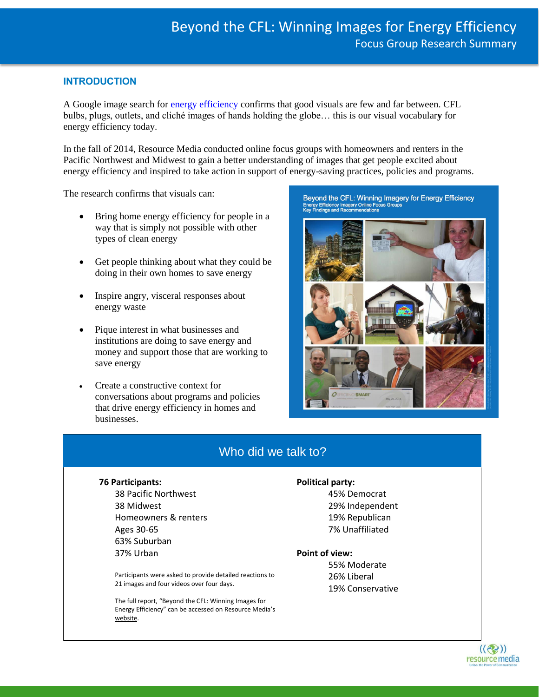# **INTRODUCTION**

A Google image search for [energy efficiency](https://www.google.com/search?q=hair+culture&espv=2&biw=1262&bih=653&source=lnms&tbm=isch&sa=X&ei=7yLuVMHrIcenoQT694AQ&ved=0CAgQ_AUoAw#tbm=isch&q=energy+efficiency) confirms that good visuals are few and far between. CFL bulbs, plugs, outlets, and cliché images of hands holding the globe… this is our visual vocabular**y** for energy efficiency today.

In the fall of 2014, Resource Media conducted online focus groups with homeowners and renters in the Pacific Northwest and Midwest to gain a better understanding of images that get people excited about energy efficiency and inspired to take action in support of energy-saving practices, policies and programs.

The research confirms that visuals can:

- Bring home energy efficiency for people in a way that is simply not possible with other types of clean energy
- Get people thinking about what they could be doing in their own homes to save energy
- Inspire angry, visceral responses about energy waste
- Pique interest in what businesses and institutions are doing to save energy and money and support those that are working to save energy
- Create a constructive context for conversations about programs and policies that drive energy efficiency in homes and businesses.

Beyond the CFL: Winning Imagery for Energy Efficiency Energy Efficiency Imagery Online Focus Groups<br>Key Findings and Recommendations



# Who did we talk to?

#### **76 Participants:**

38 Pacific Northwest 38 Midwest Homeowners & renters Ages 30-65 63% Suburban 37% Urban

Participants were asked to provide detailed reactions to 21 images and four videos over four days.

The full report, "Beyond the CFL: Winning Images for Energy Efficiency" can be accessed on Resource Media's [website.](http://www.resource-media.org/visual-story-lab/energy-efficiency-imagery/)

#### **Political party:**

45% Democrat 29% Independent 19% Republican 7% Unaffiliated

#### **Point of view:**

55% Moderate 26% Liberal 19% Conservative

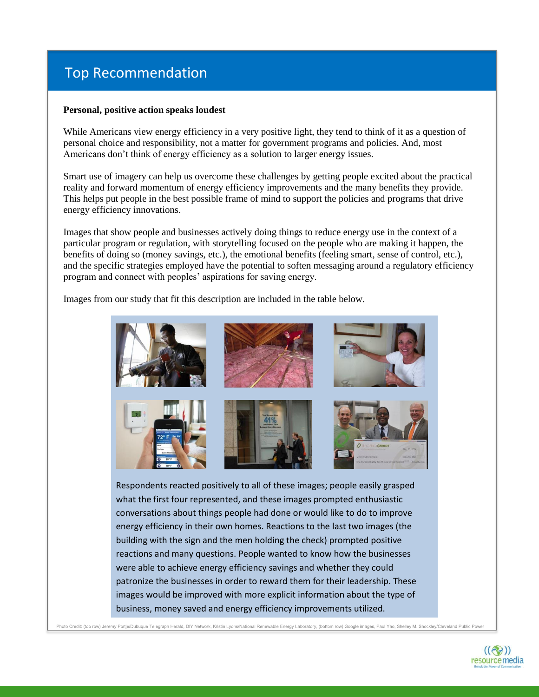# Top Recommendation

#### **Personal, positive action speaks loudest**

While Americans view energy efficiency in a very positive light, they tend to think of it as a question of personal choice and responsibility, not a matter for government programs and policies. And, most Americans don't think of energy efficiency as a solution to larger energy issues.

Smart use of imagery can help us overcome these challenges by getting people excited about the practical reality and forward momentum of energy efficiency improvements and the many benefits they provide. This helps put people in the best possible frame of mind to support the policies and programs that drive energy efficiency innovations.

Images that show people and businesses actively doing things to reduce energy use in the context of a particular program or regulation, with storytelling focused on the people who are making it happen, the benefits of doing so (money savings, etc.), the emotional benefits (feeling smart, sense of control, etc.), and the specific strategies employed have the potential to soften messaging around a regulatory efficiency program and connect with peoples' aspirations for saving energy.

Images from our study that fit this description are included in the table below.



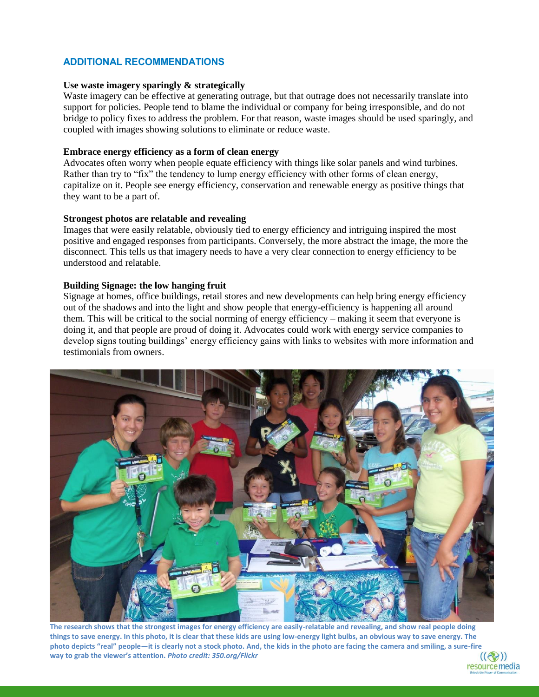# **ADDITIONAL RECOMMENDATIONS**

#### **Use waste imagery sparingly & strategically**

Waste imagery can be effective at generating outrage, but that outrage does not necessarily translate into support for policies. People tend to blame the individual or company for being irresponsible, and do not bridge to policy fixes to address the problem. For that reason, waste images should be used sparingly, and coupled with images showing solutions to eliminate or reduce waste.

#### **Embrace energy efficiency as a form of clean energy**

Advocates often worry when people equate efficiency with things like solar panels and wind turbines. Rather than try to "fix" the tendency to lump energy efficiency with other forms of clean energy, capitalize on it. People see energy efficiency, conservation and renewable energy as positive things that they want to be a part of.

#### **Strongest photos are relatable and revealing**

Images that were easily relatable, obviously tied to energy efficiency and intriguing inspired the most positive and engaged responses from participants. Conversely, the more abstract the image, the more the disconnect. This tells us that imagery needs to have a very clear connection to energy efficiency to be understood and relatable.

#### **Building Signage: the low hanging fruit**

Signage at homes, office buildings, retail stores and new developments can help bring energy efficiency out of the shadows and into the light and show people that energy-efficiency is happening all around them. This will be critical to the social norming of energy efficiency – making it seem that everyone is doing it, and that people are proud of doing it. Advocates could work with energy service companies to develop signs touting buildings' energy efficiency gains with links to websites with more information and testimonials from owners.



**The research shows that the strongest images for energy efficiency are easily-relatable and revealing, and show real people doing things to save energy. In this photo, it is clear that these kids are using low-energy light bulbs, an obvious way to save energy. The photo depicts "real" people—it is clearly not a stock photo. And, the kids in the photo are facing the camera and smiling, a sure-fire way to grab the viewer's attention.** *Photo credit: 350.org/Flickr*